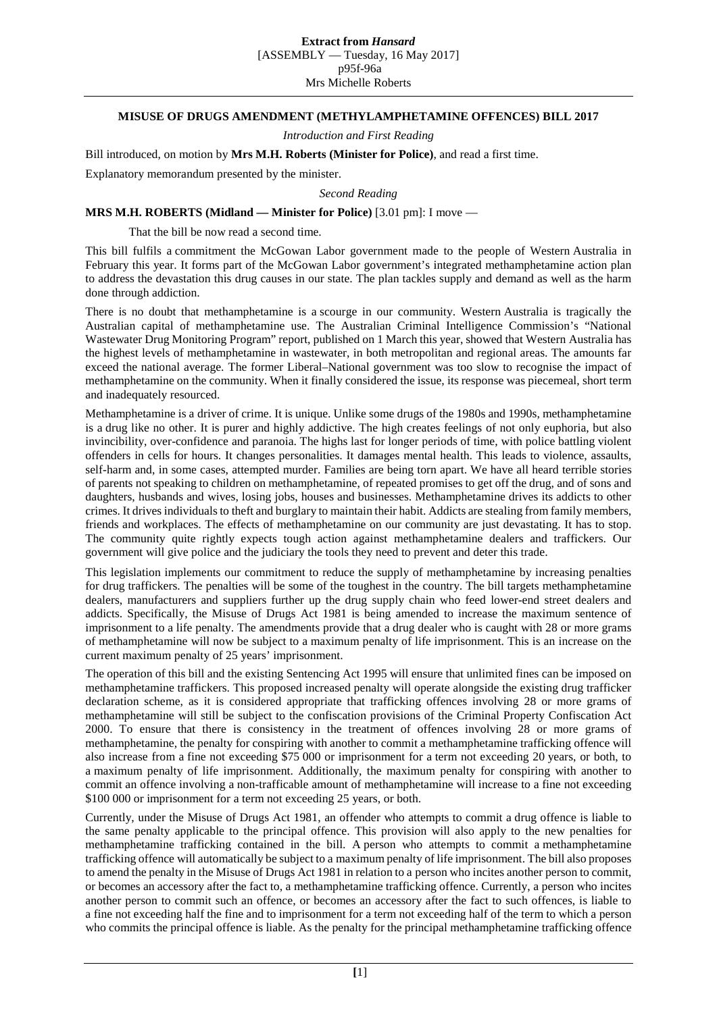## **MISUSE OF DRUGS AMENDMENT (METHYLAMPHETAMINE OFFENCES) BILL 2017**

*Introduction and First Reading*

Bill introduced, on motion by **Mrs M.H. Roberts (Minister for Police)**, and read a first time.

Explanatory memorandum presented by the minister.

*Second Reading*

## **MRS M.H. ROBERTS (Midland — Minister for Police)** [3.01 pm]: I move —

That the bill be now read a second time.

This bill fulfils a commitment the McGowan Labor government made to the people of Western Australia in February this year. It forms part of the McGowan Labor government's integrated methamphetamine action plan to address the devastation this drug causes in our state. The plan tackles supply and demand as well as the harm done through addiction.

There is no doubt that methamphetamine is a scourge in our community. Western Australia is tragically the Australian capital of methamphetamine use. The Australian Criminal Intelligence Commission's "National Wastewater Drug Monitoring Program" report, published on 1 March this year, showed that Western Australia has the highest levels of methamphetamine in wastewater, in both metropolitan and regional areas. The amounts far exceed the national average. The former Liberal–National government was too slow to recognise the impact of methamphetamine on the community. When it finally considered the issue, its response was piecemeal, short term and inadequately resourced.

Methamphetamine is a driver of crime. It is unique. Unlike some drugs of the 1980s and 1990s, methamphetamine is a drug like no other. It is purer and highly addictive. The high creates feelings of not only euphoria, but also invincibility, over-confidence and paranoia. The highs last for longer periods of time, with police battling violent offenders in cells for hours. It changes personalities. It damages mental health. This leads to violence, assaults, self-harm and, in some cases, attempted murder. Families are being torn apart. We have all heard terrible stories of parents not speaking to children on methamphetamine, of repeated promises to get off the drug, and of sons and daughters, husbands and wives, losing jobs, houses and businesses. Methamphetamine drives its addicts to other crimes. It drives individuals to theft and burglary to maintain their habit. Addicts are stealing from family members, friends and workplaces. The effects of methamphetamine on our community are just devastating. It has to stop. The community quite rightly expects tough action against methamphetamine dealers and traffickers. Our government will give police and the judiciary the tools they need to prevent and deter this trade.

This legislation implements our commitment to reduce the supply of methamphetamine by increasing penalties for drug traffickers. The penalties will be some of the toughest in the country. The bill targets methamphetamine dealers, manufacturers and suppliers further up the drug supply chain who feed lower-end street dealers and addicts. Specifically, the Misuse of Drugs Act 1981 is being amended to increase the maximum sentence of imprisonment to a life penalty. The amendments provide that a drug dealer who is caught with 28 or more grams of methamphetamine will now be subject to a maximum penalty of life imprisonment. This is an increase on the current maximum penalty of 25 years' imprisonment.

The operation of this bill and the existing Sentencing Act 1995 will ensure that unlimited fines can be imposed on methamphetamine traffickers. This proposed increased penalty will operate alongside the existing drug trafficker declaration scheme, as it is considered appropriate that trafficking offences involving 28 or more grams of methamphetamine will still be subject to the confiscation provisions of the Criminal Property Confiscation Act 2000. To ensure that there is consistency in the treatment of offences involving 28 or more grams of methamphetamine, the penalty for conspiring with another to commit a methamphetamine trafficking offence will also increase from a fine not exceeding \$75 000 or imprisonment for a term not exceeding 20 years, or both, to a maximum penalty of life imprisonment. Additionally, the maximum penalty for conspiring with another to commit an offence involving a non-trafficable amount of methamphetamine will increase to a fine not exceeding \$100 000 or imprisonment for a term not exceeding 25 years, or both.

Currently, under the Misuse of Drugs Act 1981, an offender who attempts to commit a drug offence is liable to the same penalty applicable to the principal offence. This provision will also apply to the new penalties for methamphetamine trafficking contained in the bill. A person who attempts to commit a methamphetamine trafficking offence will automatically be subject to a maximum penalty of life imprisonment. The bill also proposes to amend the penalty in the Misuse of Drugs Act 1981 in relation to a person who incites another person to commit, or becomes an accessory after the fact to, a methamphetamine trafficking offence. Currently, a person who incites another person to commit such an offence, or becomes an accessory after the fact to such offences, is liable to a fine not exceeding half the fine and to imprisonment for a term not exceeding half of the term to which a person who commits the principal offence is liable. As the penalty for the principal methamphetamine trafficking offence